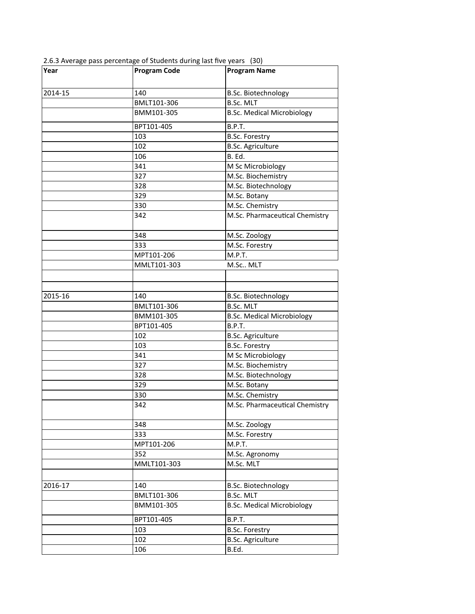| Year    | <b>Program Code</b> | <b>Program Name</b>               |
|---------|---------------------|-----------------------------------|
|         |                     |                                   |
| 2014-15 | 140                 | B.Sc. Biotechnology               |
|         | BMLT101-306         | <b>B.Sc. MLT</b>                  |
|         | BMM101-305          | <b>B.Sc. Medical Microbiology</b> |
|         | BPT101-405          | <b>B.P.T.</b>                     |
|         | 103                 | <b>B.Sc. Forestry</b>             |
|         | 102                 | <b>B.Sc. Agriculture</b>          |
|         | 106                 | B. Ed.                            |
|         | 341                 | M Sc Microbiology                 |
|         | 327                 | M.Sc. Biochemistry                |
|         | 328                 | M.Sc. Biotechnology               |
|         | 329                 | M.Sc. Botany                      |
|         | 330                 | M.Sc. Chemistry                   |
|         | 342                 | M.Sc. Pharmaceutical Chemistry    |
|         | 348                 | M.Sc. Zoology                     |
|         | 333                 | M.Sc. Forestry                    |
|         | MPT101-206          | M.P.T.                            |
|         | MMLT101-303         | M.Sc MLT                          |
|         |                     |                                   |
|         |                     |                                   |
| 2015-16 | 140                 | <b>B.Sc. Biotechnology</b>        |
|         | BMLT101-306         | <b>B.Sc. MLT</b>                  |
|         | BMM101-305          | <b>B.Sc. Medical Microbiology</b> |
|         | BPT101-405          | B.P.T.                            |
|         | 102                 | <b>B.Sc. Agriculture</b>          |
|         | 103                 | <b>B.Sc. Forestry</b>             |
|         | 341                 | M Sc Microbiology                 |
|         | 327                 | M.Sc. Biochemistry                |
|         | 328                 | M.Sc. Biotechnology               |
|         | 329                 | M.Sc. Botany                      |
|         | 330                 | M.Sc. Chemistry                   |
|         | 342                 | M.Sc. Pharmaceutical Chemistry    |
|         | 348                 | M.Sc. Zoology                     |
|         | 333                 | M.Sc. Forestry                    |
|         | MPT101-206          | M.P.T.                            |
|         | 352                 | M.Sc. Agronomy                    |
|         | MMLT101-303         | M.Sc. MLT                         |
|         |                     |                                   |
| 2016-17 | 140                 | B.Sc. Biotechnology               |
|         | BMLT101-306         | <b>B.Sc. MLT</b>                  |
|         | BMM101-305          | <b>B.Sc. Medical Microbiology</b> |
|         | BPT101-405          | B.P.T.                            |
|         | 103                 | <b>B.Sc. Forestry</b>             |
|         | 102                 | <b>B.Sc. Agriculture</b>          |
|         | 106                 | B.Ed.                             |

2.6.3 Average pass percentage of Students during last five years (30)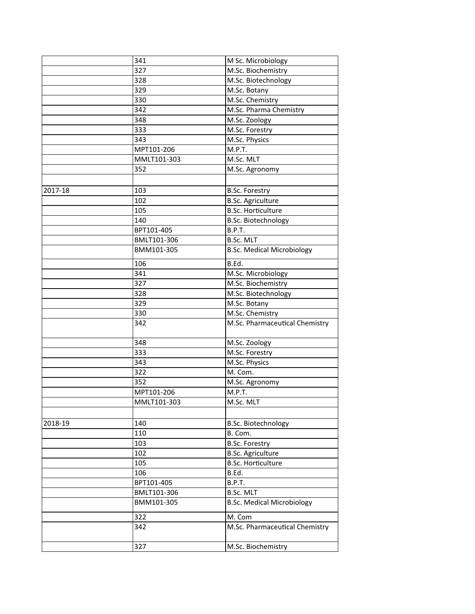|         | 341         | M Sc. Microbiology                |
|---------|-------------|-----------------------------------|
|         | 327         | M.Sc. Biochemistry                |
|         | 328         | M.Sc. Biotechnology               |
|         | 329         | M.Sc. Botany                      |
|         | 330         | M.Sc. Chemistry                   |
|         | 342         | M.Sc. Pharma Chemistry            |
|         | 348         | M.Sc. Zoology                     |
|         | 333         | M.Sc. Forestry                    |
|         | 343         | M.Sc. Physics                     |
|         | MPT101-206  | M.P.T.                            |
|         | MMLT101-303 | M.Sc. MLT                         |
|         | 352         | M.Sc. Agronomy                    |
|         |             |                                   |
| 2017-18 | 103         | <b>B.Sc. Forestry</b>             |
|         | 102         | <b>B.Sc. Agriculture</b>          |
|         | 105         | <b>B.Sc. Horticulture</b>         |
|         | 140         | <b>B.Sc. Biotechnology</b>        |
|         | BPT101-405  | B.P.T.                            |
|         | BMLT101-306 | <b>B.Sc. MLT</b>                  |
|         | BMM101-305  | <b>B.Sc. Medical Microbiology</b> |
|         |             |                                   |
|         | 106         | B.Ed.                             |
|         | 341         | M.Sc. Microbiology                |
|         | 327         | M.Sc. Biochemistry                |
|         | 328         | M.Sc. Biotechnology               |
|         | 329         | M.Sc. Botany                      |
|         | 330         | M.Sc. Chemistry                   |
|         | 342         | M.Sc. Pharmaceutical Chemistry    |
|         | 348         | M.Sc. Zoology                     |
|         | 333         | M.Sc. Forestry                    |
|         | 343         | M.Sc. Physics                     |
|         | 322         | M. Com.                           |
|         | 352         | M.Sc. Agronomy                    |
|         | MPT101-206  | M.P.T.                            |
|         | MMLT101-303 | M.Sc. MLT                         |
|         |             |                                   |
| 2018-19 | 140         | B.Sc. Biotechnology               |
|         | 110         | B. Com.                           |
|         | 103         | <b>B.Sc. Forestry</b>             |
|         | 102         | <b>B.Sc. Agriculture</b>          |
|         | 105         | <b>B.Sc. Horticulture</b>         |
|         | 106         | B.Ed.                             |
|         | BPT101-405  | B.P.T.                            |
|         | BMLT101-306 | <b>B.Sc. MLT</b>                  |
|         | BMM101-305  | <b>B.Sc. Medical Microbiology</b> |
|         | 322         | M. Com                            |
|         | 342         | M.Sc. Pharmaceutical Chemistry    |
|         |             |                                   |
|         | 327         | M.Sc. Biochemistry                |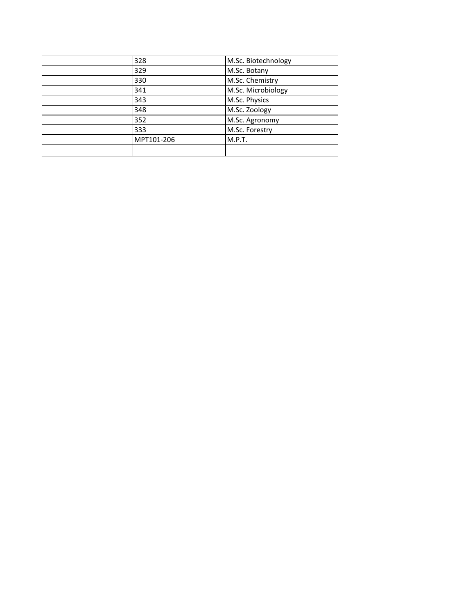| 328        | M.Sc. Biotechnology |
|------------|---------------------|
| 329        | M.Sc. Botany        |
| 330        | M.Sc. Chemistry     |
| 341        | M.Sc. Microbiology  |
| 343        | M.Sc. Physics       |
| 348        | M.Sc. Zoology       |
| 352        | M.Sc. Agronomy      |
| 333        | M.Sc. Forestry      |
| MPT101-206 | M.P.T.              |
|            |                     |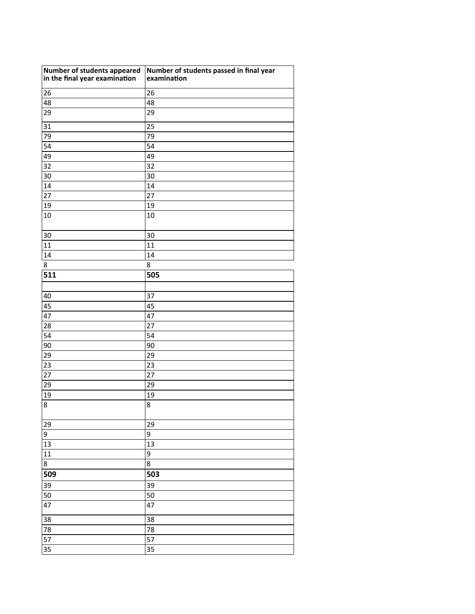| Number of students appeared<br>in the final year examination | Number of students passed in final year<br>examination |
|--------------------------------------------------------------|--------------------------------------------------------|
| 26                                                           | 26                                                     |
| 48                                                           | 48                                                     |
| 29                                                           | 29                                                     |
| 31                                                           | 25                                                     |
| 79                                                           | 79                                                     |
| 54                                                           | 54                                                     |
| 49                                                           | 49                                                     |
| 32                                                           | 32                                                     |
| 30                                                           | 30                                                     |
| 14                                                           | 14                                                     |
| 27                                                           | 27                                                     |
| 19                                                           | 19                                                     |
| 10                                                           | 10                                                     |
| 30                                                           | 30                                                     |
| 11                                                           | 11                                                     |
| 14                                                           | 14                                                     |
| 8                                                            | 8                                                      |
| 511                                                          | 505                                                    |
|                                                              |                                                        |
| 40                                                           | 37                                                     |
| 45                                                           | 45                                                     |
| 47                                                           | 47                                                     |
| 28                                                           | 27                                                     |
| 54                                                           | 54                                                     |
| 90                                                           | 90                                                     |
| 29                                                           | 29                                                     |
| 23                                                           | 23                                                     |
| 27                                                           | 27                                                     |
| 29                                                           | 29                                                     |
| 19                                                           | 19                                                     |
| 8                                                            | 8                                                      |
| 29                                                           | 29                                                     |
| 9                                                            | 9                                                      |
| 13                                                           | 13                                                     |
| 11                                                           | 9                                                      |
| 8                                                            | 8                                                      |
| 509                                                          | 503                                                    |
| 39                                                           | 39                                                     |
| 50                                                           | 50                                                     |
| 47                                                           | 47                                                     |
| 38                                                           | 38                                                     |
| 78                                                           | 78                                                     |
| 57                                                           | 57                                                     |
| 35                                                           | 35                                                     |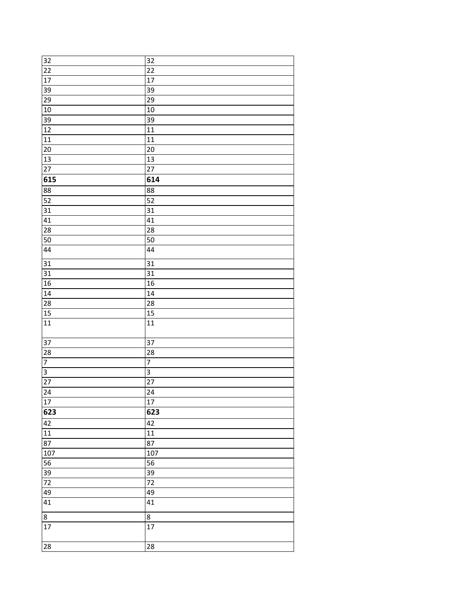| 32              | 32              |
|-----------------|-----------------|
| $\overline{22}$ | 22              |
| 17              | 17              |
| 39              | 39              |
| 29              | 29              |
| 10              | 10              |
| 39              | 39              |
| 12              | 11              |
| 11              | 11              |
| $\overline{20}$ | 20              |
| 13              | 13              |
| 27              | 27              |
| 615             | 614             |
| 88              | 88              |
| 52              | 52              |
| 31              | 31              |
| 41              | 41              |
| 28              | 28              |
| 50              | 50              |
| 44              | 44              |
| 31              | 31              |
| $\overline{31}$ | 31              |
| 16              | 16              |
| 14              | 14              |
| 28              | 28              |
| 15              | 15              |
| 11              | 11              |
|                 | 37              |
| 37              |                 |
| 28              | 28              |
| $\overline{7}$  | $\overline{7}$  |
| $\overline{3}$  | $\mathsf 3$     |
| $\overline{27}$ | $\overline{27}$ |
| 24              | 24              |
| 17              | $\overline{17}$ |
| 623             | 623             |
| 42              | 42              |
| $\overline{11}$ | $11\,$          |
| 87              | 87              |
| 107             | 107             |
| 56              | 56              |
| $\overline{39}$ | 39              |
| $\overline{72}$ | 72              |
| 49              | 49              |
| 41              | 41              |
| 8               | 8               |
| 17              | 17              |
| 28              | 28              |